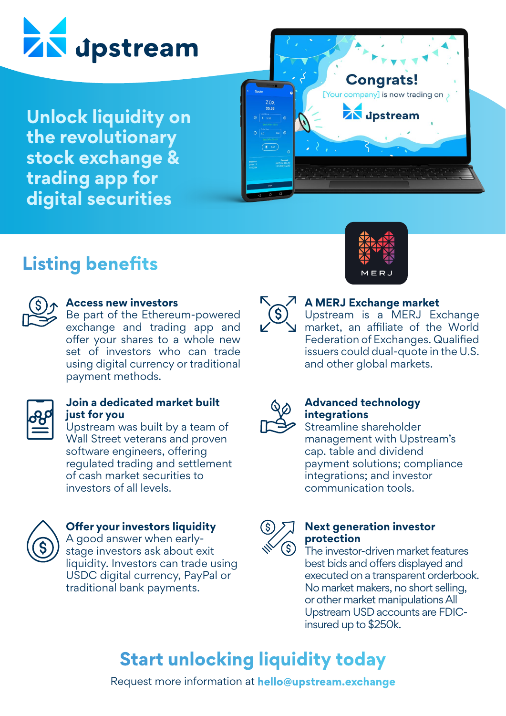

**Unlock liquidity on the revolutionary stock exchange & trading app for digital securities** 



## **Listing benefits**



### **Access new investors**

Be part of the Ethereum-powered exchange and trading app and offer your shares to a whole new set of investors who can trade using digital currency or traditional payment methods.



### **Join a dedicated market built just for you**

Upstream was built by a team of Wall Street veterans and proven software engineers, offering regulated trading and settlement of cash market securities to investors of all levels.



### **Offer your investors liquidity**

A good answer when earlystage investors ask about exit liquidity. Investors can trade using USDC digital currency, PayPal or traditional bank payments.





### **A MERJ Exchange market**

Upstream is a MERJ Exchange market, an affiliate of the World Federation of Exchanges. Qualified issuers could dual-quote in the U.S. and other global markets.



### **Advanced technology integrations**

Streamline shareholder management with Upstream's cap. table and dividend payment solutions; compliance integrations; and investor communication tools.



### **Next generation investor protection**

The investor-driven market features best bids and offers displayed and executed on a transparent orderbook. No market makers, no short selling, or other market manipulations All Upstream USD accounts are FDICinsured up to \$250k.

# **Start unlocking liquidity today**

Request more information at **hello@upstream.exchange**